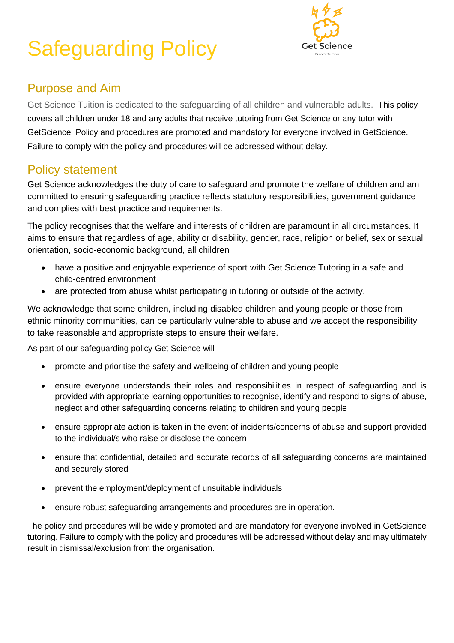# Safeguarding Policy



# Purpose and Aim

Get Science Tuition is dedicated to the safeguarding of all children and vulnerable adults. This policy covers all children under 18 and any adults that receive tutoring from Get Science or any tutor with GetScience. Policy and procedures are promoted and mandatory for everyone involved in GetScience. Failure to comply with the policy and procedures will be addressed without delay.

## Policy statement

Get Science acknowledges the duty of care to safeguard and promote the welfare of children and am committed to ensuring safeguarding practice reflects statutory responsibilities, government guidance and complies with best practice and requirements.

The policy recognises that the welfare and interests of children are paramount in all circumstances. It aims to ensure that regardless of age, ability or disability, gender, race, religion or belief, sex or sexual orientation, socio-economic background, all children

- have a positive and enjoyable experience of sport with Get Science Tutoring in a safe and child-centred environment
- are protected from abuse whilst participating in tutoring or outside of the activity.

We acknowledge that some children, including disabled children and young people or those from ethnic minority communities, can be particularly vulnerable to abuse and we accept the responsibility to take reasonable and appropriate steps to ensure their welfare.

As part of our safeguarding policy Get Science will

- promote and prioritise the safety and wellbeing of children and young people
- ensure everyone understands their roles and responsibilities in respect of safeguarding and is provided with appropriate learning opportunities to recognise, identify and respond to signs of abuse, neglect and other safeguarding concerns relating to children and young people
- ensure appropriate action is taken in the event of incidents/concerns of abuse and support provided to the individual/s who raise or disclose the concern
- ensure that confidential, detailed and accurate records of all safeguarding concerns are maintained and securely stored
- prevent the employment/deployment of unsuitable individuals
- ensure robust safeguarding arrangements and procedures are in operation.

The policy and procedures will be widely promoted and are mandatory for everyone involved in GetScience tutoring. Failure to comply with the policy and procedures will be addressed without delay and may ultimately result in dismissal/exclusion from the organisation.